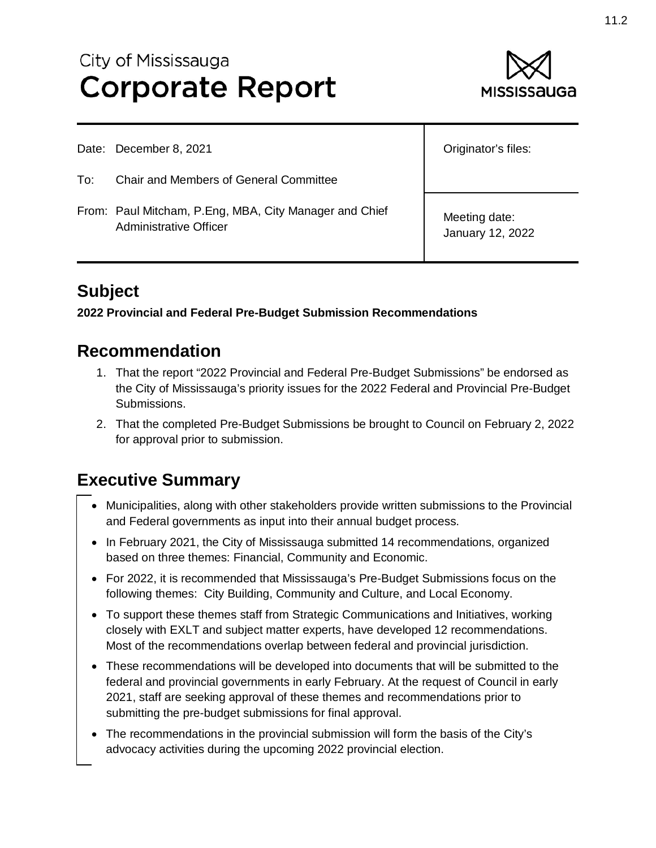# City of Mississauga **Corporate Report**



|     | Date: December 8, 2021                                                           | Originator's files:               |
|-----|----------------------------------------------------------------------------------|-----------------------------------|
| To: | <b>Chair and Members of General Committee</b>                                    |                                   |
|     | From: Paul Mitcham, P.Eng, MBA, City Manager and Chief<br>Administrative Officer | Meeting date:<br>January 12, 2022 |

# **Subject**

### **2022 Provincial and Federal Pre-Budget Submission Recommendations**

### **Recommendation**

- 1. That the report "2022 Provincial and Federal Pre-Budget Submissions" be endorsed as the City of Mississauga's priority issues for the 2022 Federal and Provincial Pre-Budget Submissions.
- 2. That the completed Pre-Budget Submissions be brought to Council on February 2, 2022 for approval prior to submission.

# **Executive Summary**

- Municipalities, along with other stakeholders provide written submissions to the Provincial and Federal governments as input into their annual budget process.
- In February 2021, the City of Mississauga submitted 14 recommendations, organized based on three themes: Financial, Community and Economic.
- For 2022, it is recommended that Mississauga's Pre-Budget Submissions focus on the following themes: City Building, Community and Culture, and Local Economy.
- To support these themes staff from Strategic Communications and Initiatives, working closely with EXLT and subject matter experts, have developed 12 recommendations. Most of the recommendations overlap between federal and provincial jurisdiction.
- These recommendations will be developed into documents that will be submitted to the federal and provincial governments in early February. At the request of Council in early 2021, staff are seeking approval of these themes and recommendations prior to submitting the pre-budget submissions for final approval.
- The recommendations in the provincial submission will form the basis of the City's advocacy activities during the upcoming 2022 provincial election.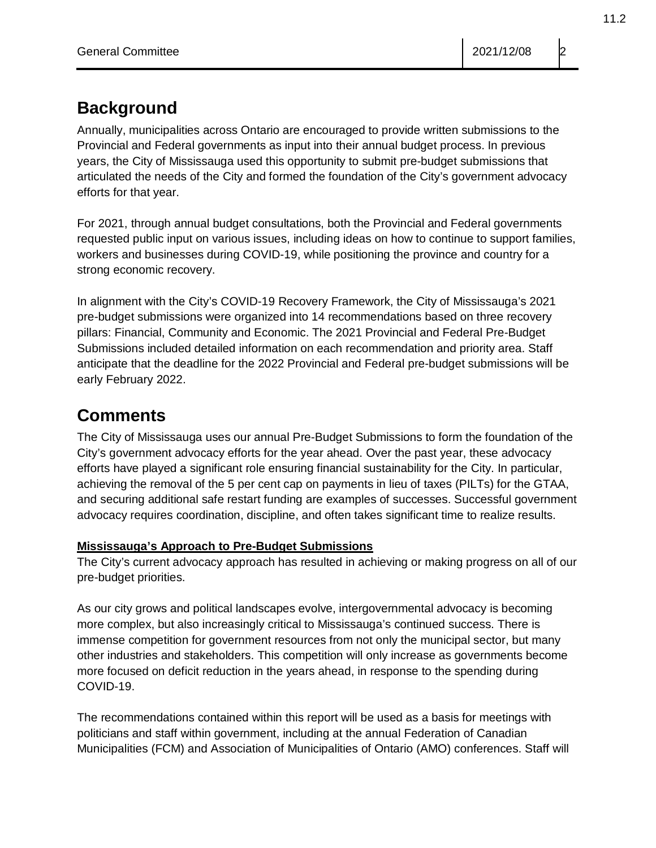# **Background**

Annually, municipalities across Ontario are encouraged to provide written submissions to the Provincial and Federal governments as input into their annual budget process. In previous years, the City of Mississauga used this opportunity to submit pre-budget submissions that articulated the needs of the City and formed the foundation of the City's government advocacy efforts for that year.

For 2021, through annual budget consultations, both the Provincial and Federal governments requested public input on various issues, including ideas on how to continue to support families, workers and businesses during COVID-19, while positioning the province and country for a strong economic recovery.

In alignment with the City's COVID-19 Recovery Framework, the City of Mississauga's 2021 pre-budget submissions were organized into 14 recommendations based on three recovery pillars: Financial, Community and Economic. The 2021 Provincial and Federal Pre-Budget Submissions included detailed information on each recommendation and priority area. Staff anticipate that the deadline for the 2022 Provincial and Federal pre-budget submissions will be early February 2022.

# **Comments**

The City of Mississauga uses our annual Pre-Budget Submissions to form the foundation of the City's government advocacy efforts for the year ahead. Over the past year, these advocacy efforts have played a significant role ensuring financial sustainability for the City. In particular, achieving the removal of the 5 per cent cap on payments in lieu of taxes (PILTs) for the GTAA, and securing additional safe restart funding are examples of successes. Successful government advocacy requires coordination, discipline, and often takes significant time to realize results.

### **Mississauga's Approach to Pre-Budget Submissions**

The City's current advocacy approach has resulted in achieving or making progress on all of our pre-budget priorities.

As our city grows and political landscapes evolve, intergovernmental advocacy is becoming more complex, but also increasingly critical to Mississauga's continued success. There is immense competition for government resources from not only the municipal sector, but many other industries and stakeholders. This competition will only increase as governments become more focused on deficit reduction in the years ahead, in response to the spending during COVID-19.

The recommendations contained within this report will be used as a basis for meetings with politicians and staff within government, including at the annual Federation of Canadian Municipalities (FCM) and Association of Municipalities of Ontario (AMO) conferences. Staff will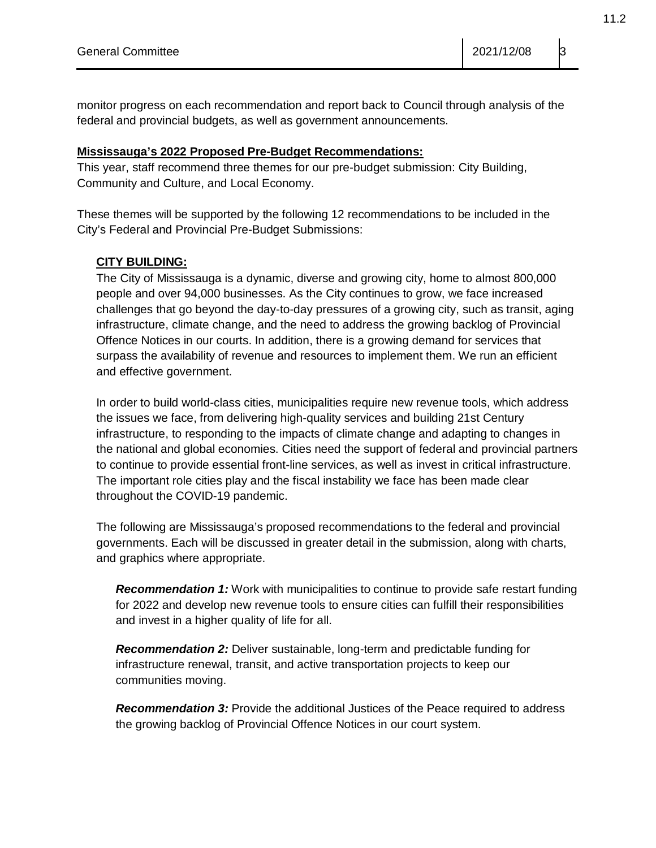monitor progress on each recommendation and report back to Council through analysis of the federal and provincial budgets, as well as government announcements.

#### **Mississauga's 2022 Proposed Pre-Budget Recommendations:**

This year, staff recommend three themes for our pre-budget submission: City Building, Community and Culture, and Local Economy.

These themes will be supported by the following 12 recommendations to be included in the City's Federal and Provincial Pre-Budget Submissions:

#### **CITY BUILDING:**

The City of Mississauga is a dynamic, diverse and growing city, home to almost 800,000 people and over 94,000 businesses. As the City continues to grow, we face increased challenges that go beyond the day-to-day pressures of a growing city, such as transit, aging infrastructure, climate change, and the need to address the growing backlog of Provincial Offence Notices in our courts. In addition, there is a growing demand for services that surpass the availability of revenue and resources to implement them. We run an efficient and effective government.

In order to build world-class cities, municipalities require new revenue tools, which address the issues we face, from delivering high-quality services and building 21st Century infrastructure, to responding to the impacts of climate change and adapting to changes in the national and global economies. Cities need the support of federal and provincial partners to continue to provide essential front-line services, as well as invest in critical infrastructure. The important role cities play and the fiscal instability we face has been made clear throughout the COVID-19 pandemic.

The following are Mississauga's proposed recommendations to the federal and provincial governments. Each will be discussed in greater detail in the submission, along with charts, and graphics where appropriate.

*Recommendation 1:* Work with municipalities to continue to provide safe restart funding for 2022 and develop new revenue tools to ensure cities can fulfill their responsibilities and invest in a higher quality of life for all.

*Recommendation 2:* Deliver sustainable, long-term and predictable funding for infrastructure renewal, transit, and active transportation projects to keep our communities moving.

*Recommendation 3:* Provide the additional Justices of the Peace required to address the growing backlog of Provincial Offence Notices in our court system.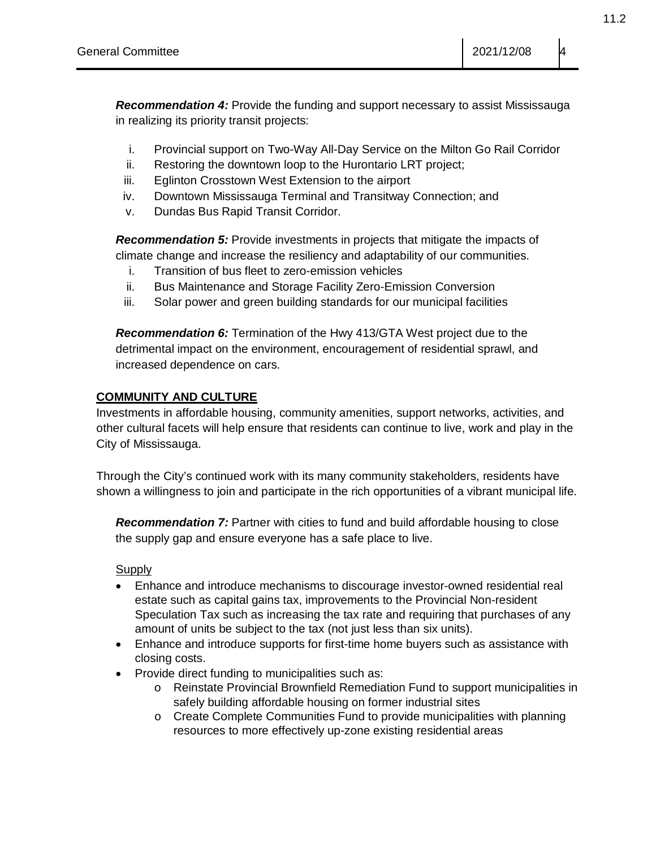*Recommendation 4:* Provide the funding and support necessary to assist Mississauga in realizing its priority transit projects:

- i. Provincial support on Two-Way All-Day Service on the Milton Go Rail Corridor
- ii. Restoring the downtown loop to the Hurontario LRT project;
- iii. Eglinton Crosstown West Extension to the airport
- iv. Downtown Mississauga Terminal and Transitway Connection; and
- v. Dundas Bus Rapid Transit Corridor.

*Recommendation 5:* Provide investments in projects that mitigate the impacts of climate change and increase the resiliency and adaptability of our communities.

- i. Transition of bus fleet to zero-emission vehicles
- ii. Bus Maintenance and Storage Facility Zero-Emission Conversion
- iii. Solar power and green building standards for our municipal facilities

*Recommendation 6:* Termination of the Hwy 413/GTA West project due to the detrimental impact on the environment, encouragement of residential sprawl, and increased dependence on cars.

### **COMMUNITY AND CULTURE**

Investments in affordable housing, community amenities, support networks, activities, and other cultural facets will help ensure that residents can continue to live, work and play in the City of Mississauga.

Through the City's continued work with its many community stakeholders, residents have shown a willingness to join and participate in the rich opportunities of a vibrant municipal life.

*Recommendation 7:* Partner with cities to fund and build affordable housing to close the supply gap and ensure everyone has a safe place to live.

#### **Supply**

- Enhance and introduce mechanisms to discourage investor-owned residential real estate such as capital gains tax, improvements to the Provincial Non-resident Speculation Tax such as increasing the tax rate and requiring that purchases of any amount of units be subject to the tax (not just less than six units).
- Enhance and introduce supports for first-time home buyers such as assistance with closing costs.
- Provide direct funding to municipalities such as:
	- o Reinstate Provincial Brownfield Remediation Fund to support municipalities in safely building affordable housing on former industrial sites
	- o Create Complete Communities Fund to provide municipalities with planning resources to more effectively up-zone existing residential areas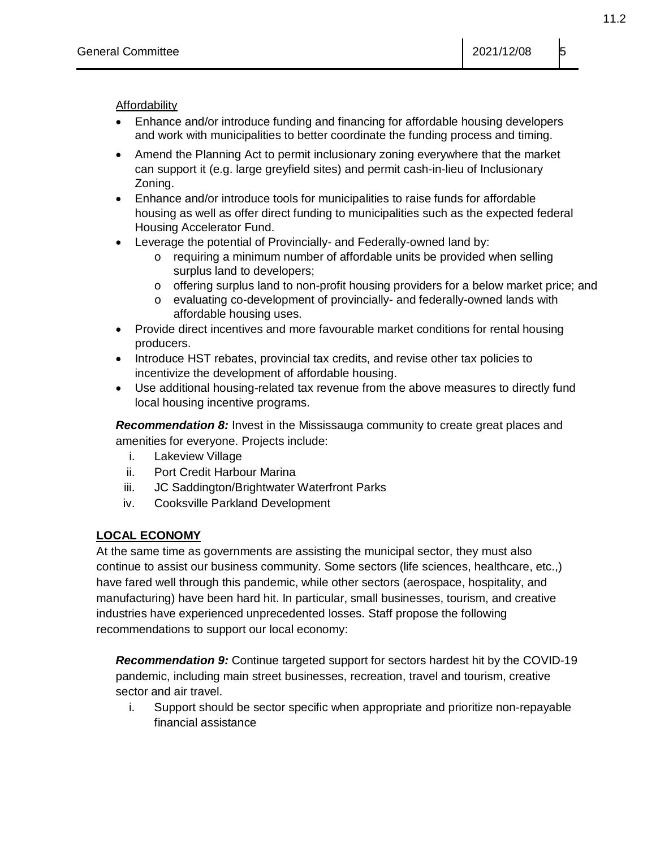**Affordability** 

- Enhance and/or introduce funding and financing for affordable housing developers and work with municipalities to better coordinate the funding process and timing.
- Amend the Planning Act to permit inclusionary zoning everywhere that the market can support it (e.g. large greyfield sites) and permit cash-in-lieu of Inclusionary Zoning.
- Enhance and/or introduce tools for municipalities to raise funds for affordable housing as well as offer direct funding to municipalities such as the expected federal Housing Accelerator Fund.
- Leverage the potential of Provincially- and Federally-owned land by:
	- requiring a minimum number of affordable units be provided when selling surplus land to developers;
	- o offering surplus land to non-profit housing providers for a below market price; and
	- o evaluating co-development of provincially- and federally-owned lands with affordable housing uses.
- Provide direct incentives and more favourable market conditions for rental housing producers.
- Introduce HST rebates, provincial tax credits, and revise other tax policies to incentivize the development of affordable housing.
- Use additional housing-related tax revenue from the above measures to directly fund local housing incentive programs.

**Recommendation 8:** Invest in the Mississauga community to create great places and amenities for everyone. Projects include:

- i. Lakeview Village
- ii. Port Credit Harbour Marina
- iii. JC Saddington/Brightwater Waterfront Parks
- iv. Cooksville Parkland Development

### **LOCAL ECONOMY**

At the same time as governments are assisting the municipal sector, they must also continue to assist our business community. Some sectors (life sciences, healthcare, etc.,) have fared well through this pandemic, while other sectors (aerospace, hospitality, and manufacturing) have been hard hit. In particular, small businesses, tourism, and creative industries have experienced unprecedented losses. Staff propose the following recommendations to support our local economy:

*Recommendation 9:* Continue targeted support for sectors hardest hit by the COVID-19 pandemic, including main street businesses, recreation, travel and tourism, creative sector and air travel.

i. Support should be sector specific when appropriate and prioritize non-repayable financial assistance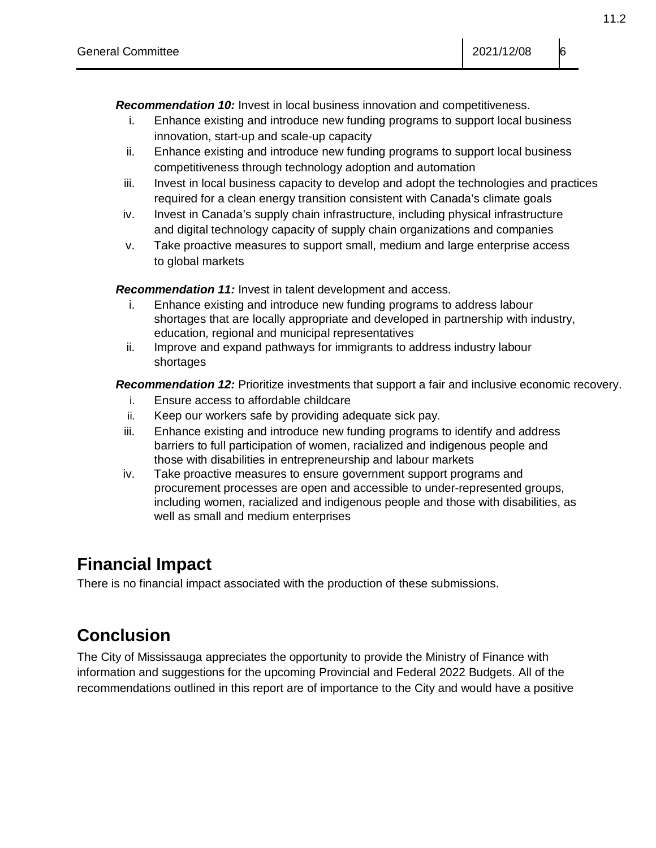*Recommendation 10:* Invest in local business innovation and competitiveness.

- i. Enhance existing and introduce new funding programs to support local business innovation, start-up and scale-up capacity
- ii. Enhance existing and introduce new funding programs to support local business competitiveness through technology adoption and automation
- iii. Invest in local business capacity to develop and adopt the technologies and practices required for a clean energy transition consistent with Canada's climate goals
- iv. Invest in Canada's supply chain infrastructure, including physical infrastructure and digital technology capacity of supply chain organizations and companies
- v. Take proactive measures to support small, medium and large enterprise access to global markets

*Recommendation 11:* Invest in talent development and access.

- i. Enhance existing and introduce new funding programs to address labour shortages that are locally appropriate and developed in partnership with industry, education, regional and municipal representatives
- ii. Improve and expand pathways for immigrants to address industry labour shortages

*Recommendation 12:* Prioritize investments that support a fair and inclusive economic recovery.

- i. Ensure access to affordable childcare
- ii. Keep our workers safe by providing adequate sick pay.
- iii. Enhance existing and introduce new funding programs to identify and address barriers to full participation of women, racialized and indigenous people and those with disabilities in entrepreneurship and labour markets
- iv. Take proactive measures to ensure government support programs and procurement processes are open and accessible to under-represented groups, including women, racialized and indigenous people and those with disabilities, as well as small and medium enterprises

### **Financial Impact**

There is no financial impact associated with the production of these submissions.

# **Conclusion**

The City of Mississauga appreciates the opportunity to provide the Ministry of Finance with information and suggestions for the upcoming Provincial and Federal 2022 Budgets. All of the recommendations outlined in this report are of importance to the City and would have a positive